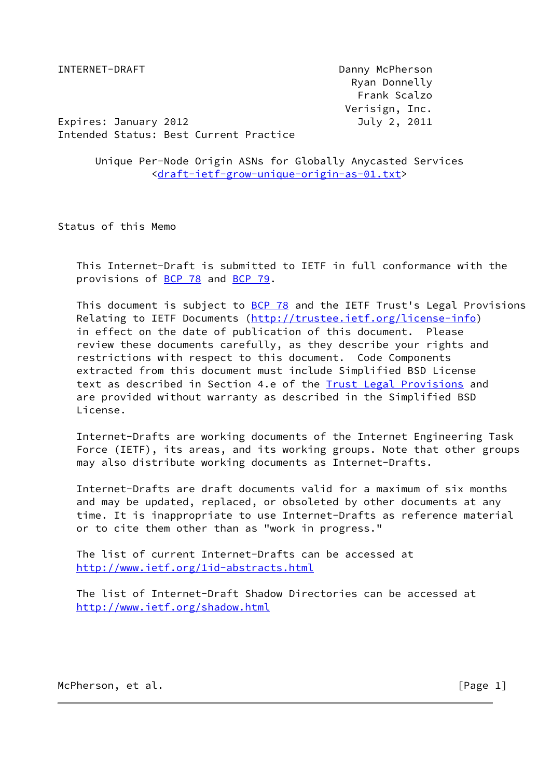INTERNET-DRAFT Danny McPherson Ryan Donnelly Frank Scalzo Verisign, Inc.

Expires: January 2012 July 2, 2011 Intended Status: Best Current Practice

 Unique Per-Node Origin ASNs for Globally Anycasted Services [<draft-ietf-grow-unique-origin-as-01.txt](https://datatracker.ietf.org/doc/pdf/draft-ietf-grow-unique-origin-as-01.txt)>

Status of this Memo

 This Internet-Draft is submitted to IETF in full conformance with the provisions of [BCP 78](https://datatracker.ietf.org/doc/pdf/bcp78) and [BCP 79](https://datatracker.ietf.org/doc/pdf/bcp79).

 This document is subject to [BCP 78](https://datatracker.ietf.org/doc/pdf/bcp78) and the IETF Trust's Legal Provisions Relating to IETF Documents ([http://trustee.ietf.org/license-info\)](http://trustee.ietf.org/license-info) in effect on the date of publication of this document. Please review these documents carefully, as they describe your rights and restrictions with respect to this document. Code Components extracted from this document must include Simplified BSD License text as described in Section 4.e of the **Trust Legal Provisions** and are provided without warranty as described in the Simplified BSD License.

 Internet-Drafts are working documents of the Internet Engineering Task Force (IETF), its areas, and its working groups. Note that other groups may also distribute working documents as Internet-Drafts.

 Internet-Drafts are draft documents valid for a maximum of six months and may be updated, replaced, or obsoleted by other documents at any time. It is inappropriate to use Internet-Drafts as reference material or to cite them other than as "work in progress."

 The list of current Internet-Drafts can be accessed at <http://www.ietf.org/1id-abstracts.html>

 The list of Internet-Draft Shadow Directories can be accessed at <http://www.ietf.org/shadow.html>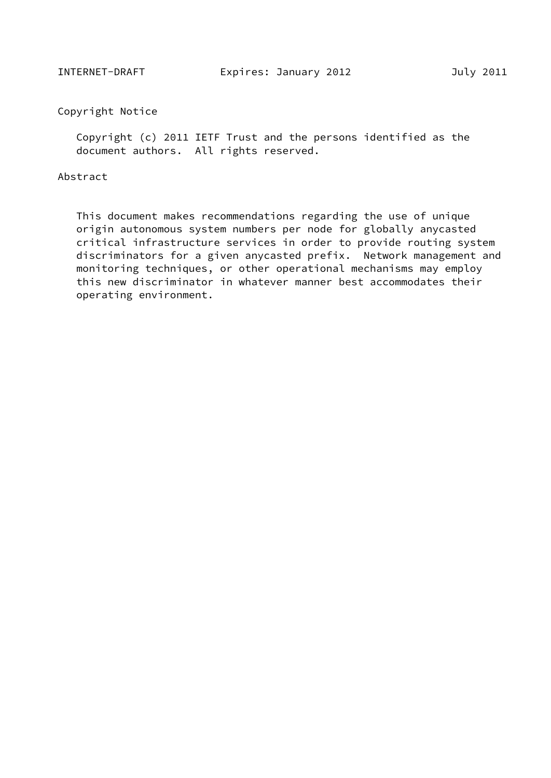# Copyright Notice

 Copyright (c) 2011 IETF Trust and the persons identified as the document authors. All rights reserved.

### Abstract

 This document makes recommendations regarding the use of unique origin autonomous system numbers per node for globally anycasted critical infrastructure services in order to provide routing system discriminators for a given anycasted prefix. Network management and monitoring techniques, or other operational mechanisms may employ this new discriminator in whatever manner best accommodates their operating environment.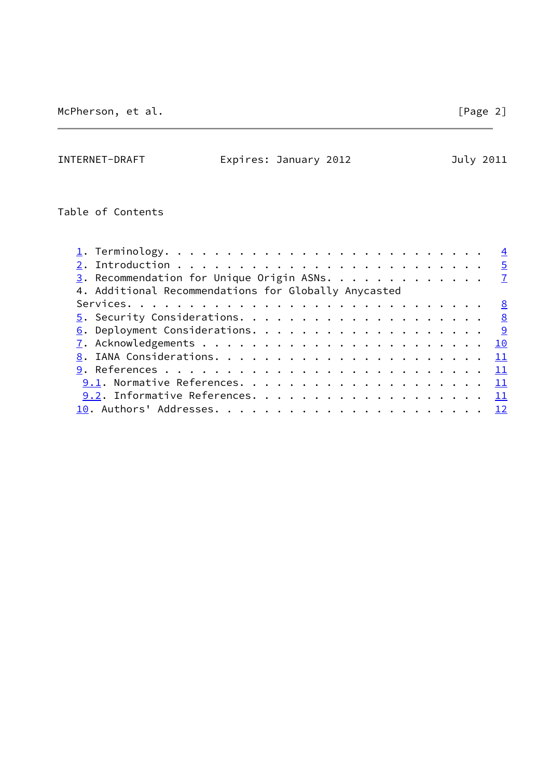INTERNET-DRAFT Expires: January 2012 July 2011

Table of Contents

| $\underline{3}$ . Recommendation for Unique Origin ASNs. 7 |  |
|------------------------------------------------------------|--|
| 4. Additional Recommendations for Globally Anycasted       |  |
|                                                            |  |
|                                                            |  |
|                                                            |  |
|                                                            |  |
|                                                            |  |
|                                                            |  |
|                                                            |  |
|                                                            |  |
|                                                            |  |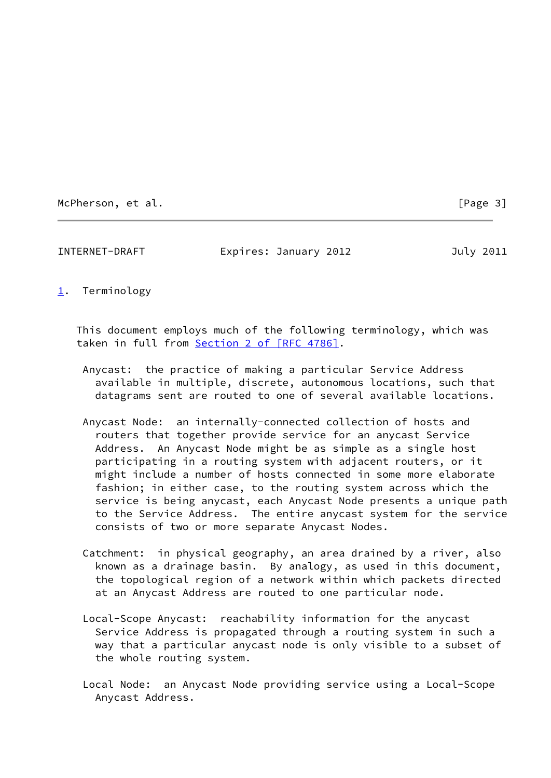McPherson, et al. [Page 3]

<span id="page-3-0"></span>[1](#page-3-0). Terminology

 This document employs much of the following terminology, which was taken in full from Section [2 of \[RFC 4786\]](https://datatracker.ietf.org/doc/pdf/rfc4786#section-2).

<span id="page-3-1"></span>INTERNET-DRAFT Expires: January 2012 July 2011

- Anycast: the practice of making a particular Service Address available in multiple, discrete, autonomous locations, such that datagrams sent are routed to one of several available locations.
- Anycast Node: an internally-connected collection of hosts and routers that together provide service for an anycast Service Address. An Anycast Node might be as simple as a single host participating in a routing system with adjacent routers, or it might include a number of hosts connected in some more elaborate fashion; in either case, to the routing system across which the service is being anycast, each Anycast Node presents a unique path to the Service Address. The entire anycast system for the service consists of two or more separate Anycast Nodes.
- Catchment: in physical geography, an area drained by a river, also known as a drainage basin. By analogy, as used in this document, the topological region of a network within which packets directed at an Anycast Address are routed to one particular node.
- Local-Scope Anycast: reachability information for the anycast Service Address is propagated through a routing system in such a way that a particular anycast node is only visible to a subset of the whole routing system.
- Local Node: an Anycast Node providing service using a Local-Scope Anycast Address.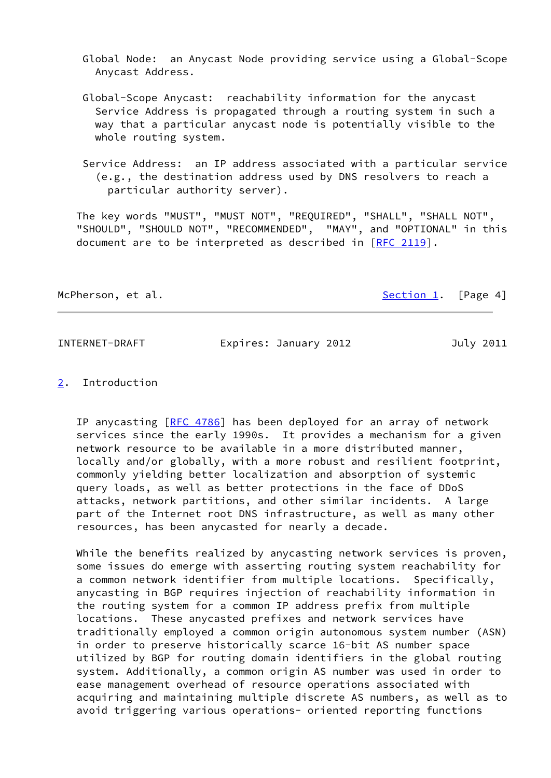Global Node: an Anycast Node providing service using a Global-Scope Anycast Address.

- Global-Scope Anycast: reachability information for the anycast Service Address is propagated through a routing system in such a way that a particular anycast node is potentially visible to the whole routing system.
- Service Address: an IP address associated with a particular service (e.g., the destination address used by DNS resolvers to reach a particular authority server).

 The key words "MUST", "MUST NOT", "REQUIRED", "SHALL", "SHALL NOT", "SHOULD", "SHOULD NOT", "RECOMMENDED", "MAY", and "OPTIONAL" in this document are to be interpreted as described in  $[RFC 2119]$  $[RFC 2119]$ .

McPherson, et al. [Section 1](#page-3-0). [Page 4]

<span id="page-4-1"></span>

INTERNET-DRAFT Expires: January 2012 July 2011

### <span id="page-4-0"></span>[2](#page-4-0). Introduction

IP anycasting [[RFC 4786\]](https://datatracker.ietf.org/doc/pdf/rfc4786) has been deployed for an array of network services since the early 1990s. It provides a mechanism for a given network resource to be available in a more distributed manner, locally and/or globally, with a more robust and resilient footprint, commonly yielding better localization and absorption of systemic query loads, as well as better protections in the face of DDoS attacks, network partitions, and other similar incidents. A large part of the Internet root DNS infrastructure, as well as many other resources, has been anycasted for nearly a decade.

 While the benefits realized by anycasting network services is proven, some issues do emerge with asserting routing system reachability for a common network identifier from multiple locations. Specifically, anycasting in BGP requires injection of reachability information in the routing system for a common IP address prefix from multiple locations. These anycasted prefixes and network services have traditionally employed a common origin autonomous system number (ASN) in order to preserve historically scarce 16-bit AS number space utilized by BGP for routing domain identifiers in the global routing system. Additionally, a common origin AS number was used in order to ease management overhead of resource operations associated with acquiring and maintaining multiple discrete AS numbers, as well as to avoid triggering various operations- oriented reporting functions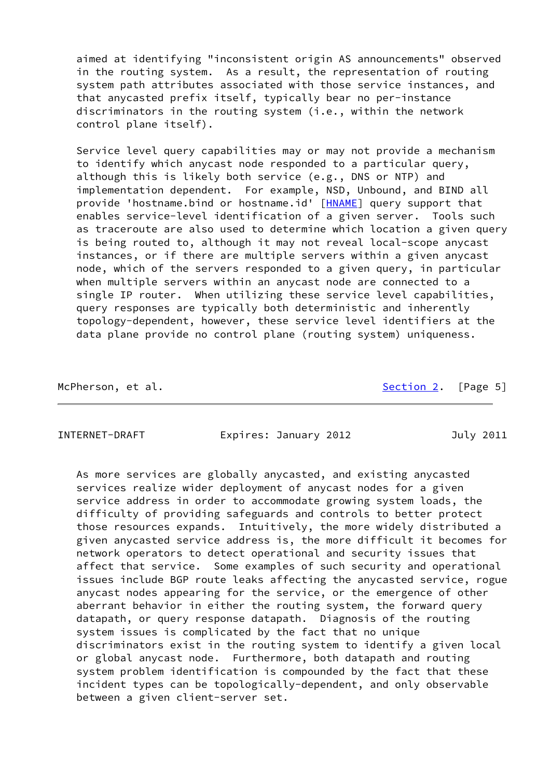aimed at identifying "inconsistent origin AS announcements" observed in the routing system. As a result, the representation of routing system path attributes associated with those service instances, and that anycasted prefix itself, typically bear no per-instance discriminators in the routing system (i.e., within the network control plane itself).

 Service level query capabilities may or may not provide a mechanism to identify which anycast node responded to a particular query, although this is likely both service (e.g., DNS or NTP) and implementation dependent. For example, NSD, Unbound, and BIND all provide 'hostname.bind or hostname.id' [\[HNAME](#page-12-2)] query support that enables service-level identification of a given server. Tools such as traceroute are also used to determine which location a given query is being routed to, although it may not reveal local-scope anycast instances, or if there are multiple servers within a given anycast node, which of the servers responded to a given query, in particular when multiple servers within an anycast node are connected to a single IP router. When utilizing these service level capabilities, query responses are typically both deterministic and inherently topology-dependent, however, these service level identifiers at the data plane provide no control plane (routing system) uniqueness.

McPherson, et al. [Section 2](#page-4-0). [Page 5]

INTERNET-DRAFT Expires: January 2012 July 2011

 As more services are globally anycasted, and existing anycasted services realize wider deployment of anycast nodes for a given service address in order to accommodate growing system loads, the difficulty of providing safeguards and controls to better protect those resources expands. Intuitively, the more widely distributed a given anycasted service address is, the more difficult it becomes for network operators to detect operational and security issues that affect that service. Some examples of such security and operational issues include BGP route leaks affecting the anycasted service, rogue anycast nodes appearing for the service, or the emergence of other aberrant behavior in either the routing system, the forward query datapath, or query response datapath. Diagnosis of the routing system issues is complicated by the fact that no unique discriminators exist in the routing system to identify a given local or global anycast node. Furthermore, both datapath and routing system problem identification is compounded by the fact that these incident types can be topologically-dependent, and only observable between a given client-server set.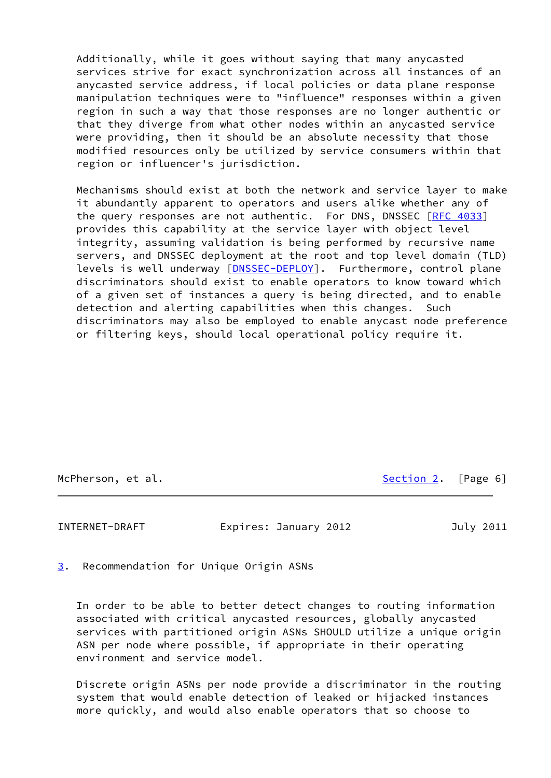Additionally, while it goes without saying that many anycasted services strive for exact synchronization across all instances of an anycasted service address, if local policies or data plane response manipulation techniques were to "influence" responses within a given region in such a way that those responses are no longer authentic or that they diverge from what other nodes within an anycasted service were providing, then it should be an absolute necessity that those modified resources only be utilized by service consumers within that region or influencer's jurisdiction.

 Mechanisms should exist at both the network and service layer to make it abundantly apparent to operators and users alike whether any of the query responses are not authentic. For DNS, DNSSEC [\[RFC 4033](https://datatracker.ietf.org/doc/pdf/rfc4033)] provides this capability at the service layer with object level integrity, assuming validation is being performed by recursive name servers, and DNSSEC deployment at the root and top level domain (TLD) levels is well underway [\[DNSSEC-DEPLOY](#page-12-3)]. Furthermore, control plane discriminators should exist to enable operators to know toward which of a given set of instances a query is being directed, and to enable detection and alerting capabilities when this changes. Such discriminators may also be employed to enable anycast node preference or filtering keys, should local operational policy require it.

McPherson, et al. [Section 2](#page-4-0). [Page 6]

<span id="page-6-1"></span>INTERNET-DRAFT Expires: January 2012 July 2011

<span id="page-6-0"></span>[3](#page-6-0). Recommendation for Unique Origin ASNs

 In order to be able to better detect changes to routing information associated with critical anycasted resources, globally anycasted services with partitioned origin ASNs SHOULD utilize a unique origin ASN per node where possible, if appropriate in their operating environment and service model.

 Discrete origin ASNs per node provide a discriminator in the routing system that would enable detection of leaked or hijacked instances more quickly, and would also enable operators that so choose to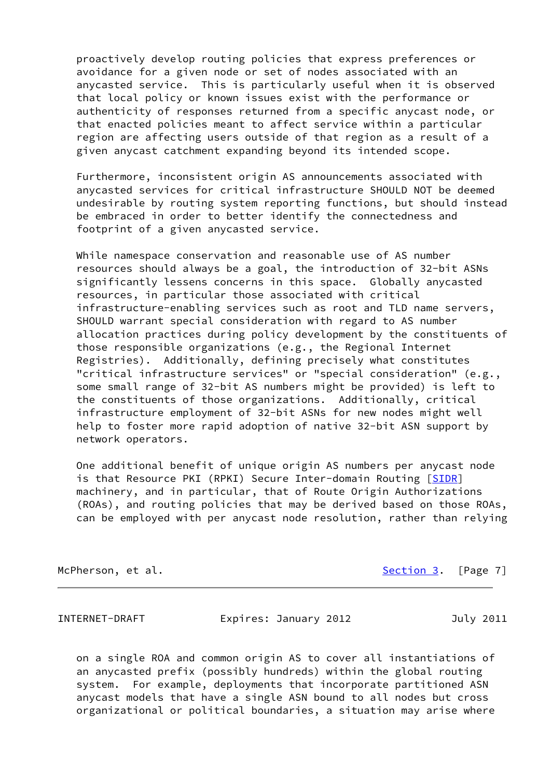proactively develop routing policies that express preferences or avoidance for a given node or set of nodes associated with an anycasted service. This is particularly useful when it is observed that local policy or known issues exist with the performance or authenticity of responses returned from a specific anycast node, or that enacted policies meant to affect service within a particular region are affecting users outside of that region as a result of a given anycast catchment expanding beyond its intended scope.

 Furthermore, inconsistent origin AS announcements associated with anycasted services for critical infrastructure SHOULD NOT be deemed undesirable by routing system reporting functions, but should instead be embraced in order to better identify the connectedness and footprint of a given anycasted service.

 While namespace conservation and reasonable use of AS number resources should always be a goal, the introduction of 32-bit ASNs significantly lessens concerns in this space. Globally anycasted resources, in particular those associated with critical infrastructure-enabling services such as root and TLD name servers, SHOULD warrant special consideration with regard to AS number allocation practices during policy development by the constituents of those responsible organizations (e.g., the Regional Internet Registries). Additionally, defining precisely what constitutes "critical infrastructure services" or "special consideration" (e.g., some small range of 32-bit AS numbers might be provided) is left to the constituents of those organizations. Additionally, critical infrastructure employment of 32-bit ASNs for new nodes might well help to foster more rapid adoption of native 32-bit ASN support by network operators.

 One additional benefit of unique origin AS numbers per anycast node is that Resource PKI (RPKI) Secure Inter-domain Routing [\[SIDR](#page-12-4)] machinery, and in particular, that of Route Origin Authorizations (ROAs), and routing policies that may be derived based on those ROAs, can be employed with per anycast node resolution, rather than relying

McPherson, et al. [Section 3](#page-6-0). [Page 7]

<span id="page-7-0"></span>INTERNET-DRAFT Expires: January 2012 July 2011

 on a single ROA and common origin AS to cover all instantiations of an anycasted prefix (possibly hundreds) within the global routing system. For example, deployments that incorporate partitioned ASN anycast models that have a single ASN bound to all nodes but cross organizational or political boundaries, a situation may arise where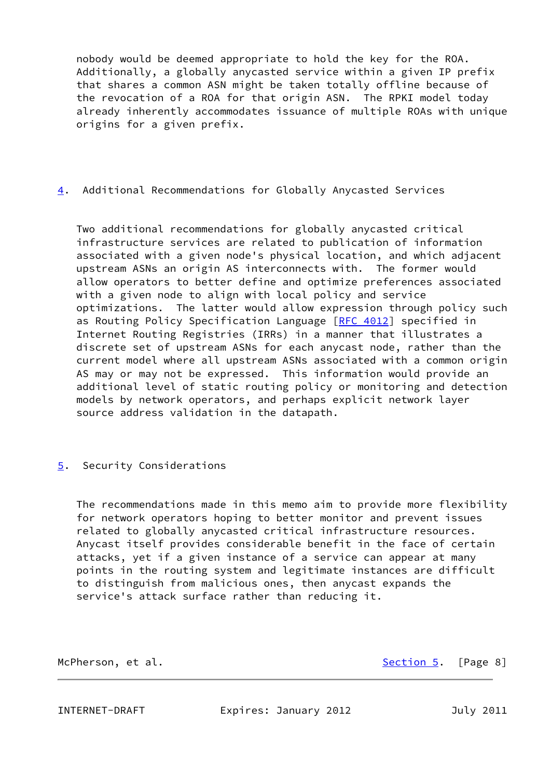nobody would be deemed appropriate to hold the key for the ROA. Additionally, a globally anycasted service within a given IP prefix that shares a common ASN might be taken totally offline because of the revocation of a ROA for that origin ASN. The RPKI model today already inherently accommodates issuance of multiple ROAs with unique origins for a given prefix.

# <span id="page-8-2"></span>[4](#page-8-2). Additional Recommendations for Globally Anycasted Services

 Two additional recommendations for globally anycasted critical infrastructure services are related to publication of information associated with a given node's physical location, and which adjacent upstream ASNs an origin AS interconnects with. The former would allow operators to better define and optimize preferences associated with a given node to align with local policy and service optimizations. The latter would allow expression through policy such as Routing Policy Specification Language [\[RFC 4012](https://datatracker.ietf.org/doc/pdf/rfc4012)] specified in Internet Routing Registries (IRRs) in a manner that illustrates a discrete set of upstream ASNs for each anycast node, rather than the current model where all upstream ASNs associated with a common origin AS may or may not be expressed. This information would provide an additional level of static routing policy or monitoring and detection models by network operators, and perhaps explicit network layer source address validation in the datapath.

## <span id="page-8-0"></span>[5](#page-8-0). Security Considerations

 The recommendations made in this memo aim to provide more flexibility for network operators hoping to better monitor and prevent issues related to globally anycasted critical infrastructure resources. Anycast itself provides considerable benefit in the face of certain attacks, yet if a given instance of a service can appear at many points in the routing system and legitimate instances are difficult to distinguish from malicious ones, then anycast expands the service's attack surface rather than reducing it.

McPherson, et al. [Section 5](#page-8-0). [Page 8]

<span id="page-8-1"></span>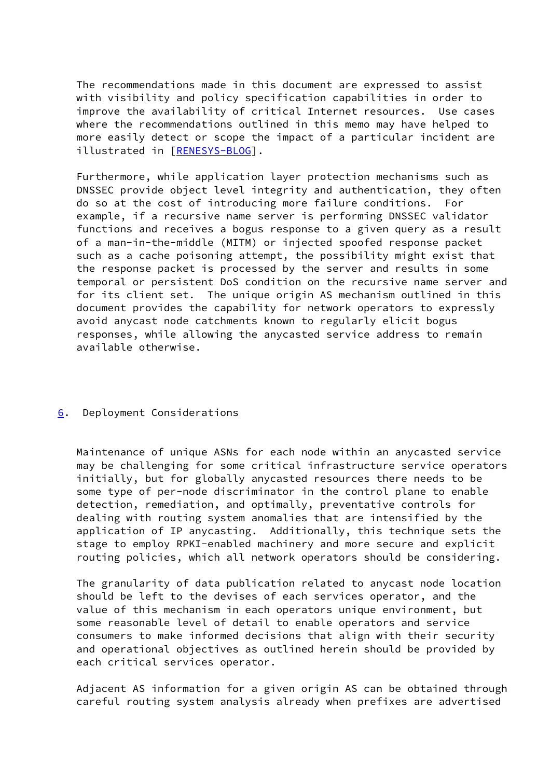The recommendations made in this document are expressed to assist with visibility and policy specification capabilities in order to improve the availability of critical Internet resources. Use cases where the recommendations outlined in this memo may have helped to more easily detect or scope the impact of a particular incident are illustrated in [\[RENESYS-BLOG](#page-12-5)].

 Furthermore, while application layer protection mechanisms such as DNSSEC provide object level integrity and authentication, they often do so at the cost of introducing more failure conditions. For example, if a recursive name server is performing DNSSEC validator functions and receives a bogus response to a given query as a result of a man-in-the-middle (MITM) or injected spoofed response packet such as a cache poisoning attempt, the possibility might exist that the response packet is processed by the server and results in some temporal or persistent DoS condition on the recursive name server and for its client set. The unique origin AS mechanism outlined in this document provides the capability for network operators to expressly avoid anycast node catchments known to regularly elicit bogus responses, while allowing the anycasted service address to remain available otherwise.

## <span id="page-9-0"></span>[6](#page-9-0). Deployment Considerations

 Maintenance of unique ASNs for each node within an anycasted service may be challenging for some critical infrastructure service operators initially, but for globally anycasted resources there needs to be some type of per-node discriminator in the control plane to enable detection, remediation, and optimally, preventative controls for dealing with routing system anomalies that are intensified by the application of IP anycasting. Additionally, this technique sets the stage to employ RPKI-enabled machinery and more secure and explicit routing policies, which all network operators should be considering.

 The granularity of data publication related to anycast node location should be left to the devises of each services operator, and the value of this mechanism in each operators unique environment, but some reasonable level of detail to enable operators and service consumers to make informed decisions that align with their security and operational objectives as outlined herein should be provided by each critical services operator.

 Adjacent AS information for a given origin AS can be obtained through careful routing system analysis already when prefixes are advertised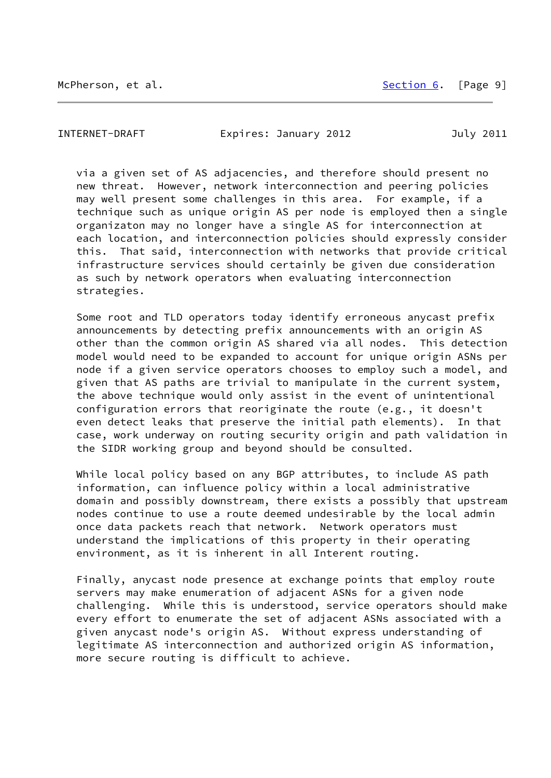McPherson, et al. [Section 6](#page-9-0). [Page 9]

<span id="page-10-0"></span>INTERNET-DRAFT Expires: January 2012 July 2011

 via a given set of AS adjacencies, and therefore should present no new threat. However, network interconnection and peering policies may well present some challenges in this area. For example, if a technique such as unique origin AS per node is employed then a single organizaton may no longer have a single AS for interconnection at each location, and interconnection policies should expressly consider this. That said, interconnection with networks that provide critical infrastructure services should certainly be given due consideration as such by network operators when evaluating interconnection strategies.

 Some root and TLD operators today identify erroneous anycast prefix announcements by detecting prefix announcements with an origin AS other than the common origin AS shared via all nodes. This detection model would need to be expanded to account for unique origin ASNs per node if a given service operators chooses to employ such a model, and given that AS paths are trivial to manipulate in the current system, the above technique would only assist in the event of unintentional configuration errors that reoriginate the route (e.g., it doesn't even detect leaks that preserve the initial path elements). In that case, work underway on routing security origin and path validation in the SIDR working group and beyond should be consulted.

 While local policy based on any BGP attributes, to include AS path information, can influence policy within a local administrative domain and possibly downstream, there exists a possibly that upstream nodes continue to use a route deemed undesirable by the local admin once data packets reach that network. Network operators must understand the implications of this property in their operating environment, as it is inherent in all Interent routing.

 Finally, anycast node presence at exchange points that employ route servers may make enumeration of adjacent ASNs for a given node challenging. While this is understood, service operators should make every effort to enumerate the set of adjacent ASNs associated with a given anycast node's origin AS. Without express understanding of legitimate AS interconnection and authorized origin AS information, more secure routing is difficult to achieve.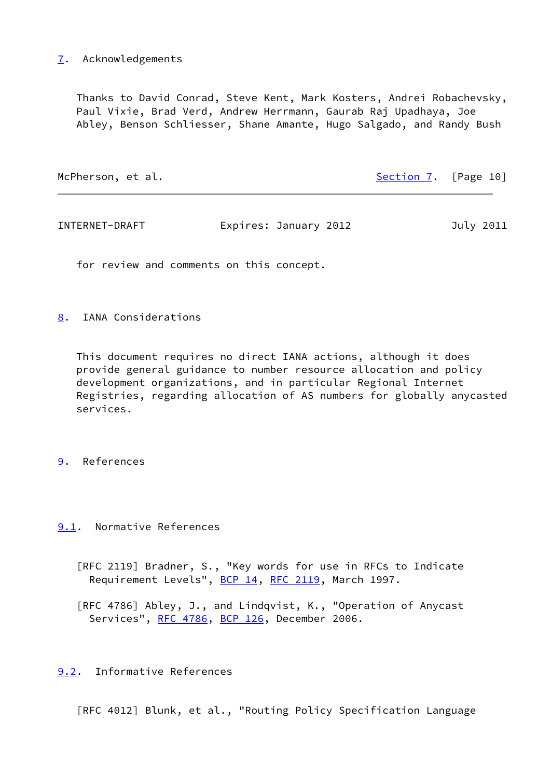# <span id="page-11-0"></span>[7](#page-11-0). Acknowledgements

 Thanks to David Conrad, Steve Kent, Mark Kosters, Andrei Robachevsky, Paul Vixie, Brad Verd, Andrew Herrmann, Gaurab Raj Upadhaya, Joe Abley, Benson Schliesser, Shane Amante, Hugo Salgado, and Randy Bush

<span id="page-11-2"></span>

| McPherson, et al. | Section 7. [Page 10]  |  |           |
|-------------------|-----------------------|--|-----------|
|                   |                       |  |           |
| INTERNET-DRAFT    | Expires: January 2012 |  | July 2011 |

for review and comments on this concept.

<span id="page-11-1"></span>[8](#page-11-1). IANA Considerations

 This document requires no direct IANA actions, although it does provide general guidance to number resource allocation and policy development organizations, and in particular Regional Internet Registries, regarding allocation of AS numbers for globally anycasted services.

### <span id="page-11-3"></span>[9](#page-11-3). References

# <span id="page-11-4"></span>[9.1](#page-11-4). Normative References

- [RFC 2119] Bradner, S., "Key words for use in RFCs to Indicate Requirement Levels", [BCP 14](https://datatracker.ietf.org/doc/pdf/bcp14), [RFC 2119,](https://datatracker.ietf.org/doc/pdf/rfc2119) March 1997.
- [RFC 4786] Abley, J., and Lindqvist, K., "Operation of Anycast Services", [RFC 4786](https://datatracker.ietf.org/doc/pdf/rfc4786), [BCP 126](https://datatracker.ietf.org/doc/pdf/bcp126), December 2006.

### <span id="page-11-5"></span>[9.2](#page-11-5). Informative References

[RFC 4012] Blunk, et al., "Routing Policy Specification Language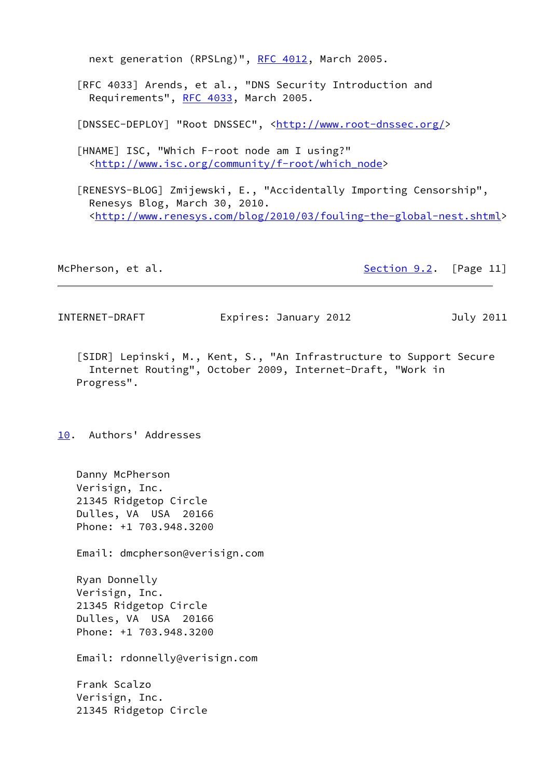next generation (RPSLng)", [RFC 4012](https://datatracker.ietf.org/doc/pdf/rfc4012), March 2005.

 [RFC 4033] Arends, et al., "DNS Security Introduction and Requirements", [RFC 4033](https://datatracker.ietf.org/doc/pdf/rfc4033), March 2005.

<span id="page-12-3"></span>[DNSSEC-DEPLOY] "Root DNSSEC", [<http://www.root-dnssec.org/](http://www.root-dnssec.org/)>

<span id="page-12-2"></span> [HNAME] ISC, "Which F-root node am I using?" <[http://www.isc.org/community/f-root/which\\_node](http://www.isc.org/community/f-root/which_node)>

<span id="page-12-5"></span> [RENESYS-BLOG] Zmijewski, E., "Accidentally Importing Censorship", Renesys Blog, March 30, 2010. <[http://www.renesys.com/blog/2010/03/fouling-the-global-nest.shtml>](http://www.renesys.com/blog/2010/03/fouling-the-global-nest.shtml)

McPherson, et al. [Section 9.2](#page-11-5). [Page 11]

<span id="page-12-1"></span>INTERNET-DRAFT Expires: January 2012 July 2011

<span id="page-12-4"></span> [SIDR] Lepinski, M., Kent, S., "An Infrastructure to Support Secure Internet Routing", October 2009, Internet-Draft, "Work in Progress".

<span id="page-12-0"></span>[10.](#page-12-0) Authors' Addresses

 Danny McPherson Verisign, Inc. 21345 Ridgetop Circle Dulles, VA USA 20166 Phone: +1 703.948.3200

Email: dmcpherson@verisign.com

 Ryan Donnelly Verisign, Inc. 21345 Ridgetop Circle Dulles, VA USA 20166 Phone: +1 703.948.3200

Email: rdonnelly@verisign.com

 Frank Scalzo Verisign, Inc. 21345 Ridgetop Circle